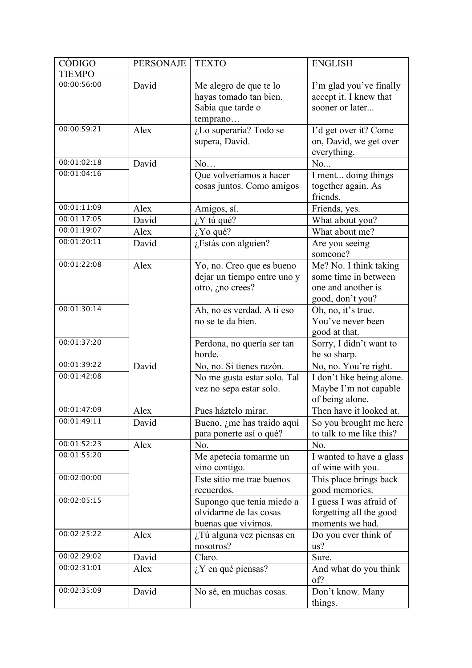| CÓDIGO        | <b>PERSONAJE</b> | <b>TEXTO</b>                                                                      | <b>ENGLISH</b>                                                                           |
|---------------|------------------|-----------------------------------------------------------------------------------|------------------------------------------------------------------------------------------|
| <b>TIEMPO</b> |                  |                                                                                   |                                                                                          |
| 00:00:56:00   | David            | Me alegro de que te lo<br>hayas tomado tan bien.<br>Sabía que tarde o<br>temprano | I'm glad you've finally<br>accept it. I knew that<br>sooner or later                     |
| 00:00:59:21   | Alex             | ¿Lo superaría? Todo se<br>supera, David.                                          | I'd get over it? Come<br>on, David, we get over<br>everything.                           |
| 00:01:02:18   | David            | No                                                                                | No                                                                                       |
| 00:01:04:16   |                  | Que volveríamos a hacer<br>cosas juntos. Como amigos                              | I ment doing things<br>together again. As<br>friends.                                    |
| 00:01:11:09   | Alex             | Amigos, sí.                                                                       | Friends, yes.                                                                            |
| 00:01:17:05   | David            | $i$ <sup>Y</sup> tú qué?                                                          | What about you?                                                                          |
| 00:01:19:07   | Alex             | $i$ Yo qué?                                                                       | What about me?                                                                           |
| 00:01:20:11   | David            | ¿Estás con alguien?                                                               | Are you seeing<br>someone?                                                               |
| 00:01:22:08   | Alex             | Yo, no. Creo que es bueno<br>dejar un tiempo entre uno y<br>otro, ¿no crees?      | Me? No. I think taking<br>some time in between<br>one and another is<br>good, don't you? |
| 00:01:30:14   |                  | Ah, no es verdad. A ti eso<br>no se te da bien.                                   | Oh, no, it's true.<br>You've never been<br>good at that.                                 |
| 00:01:37:20   |                  | Perdona, no quería ser tan<br>borde.                                              | Sorry, I didn't want to<br>be so sharp.                                                  |
| 00:01:39:22   | David            | No, no. Si tienes razón.                                                          | No, no. You're right.                                                                    |
| 00:01:42:08   |                  | No me gusta estar solo. Tal<br>vez no sepa estar solo.                            | I don't like being alone.<br>Maybe I'm not capable<br>of being alone.                    |
| 00:01:47:09   | Alex             | Pues háztelo mirar.                                                               | Then have it looked at.                                                                  |
| 00:01:49:11   | David            | Bueno, ¿me has traído aquí<br>para ponerte así o qué?                             | So you brought me here<br>to talk to me like this?                                       |
| 00:01:52:23   | Alex             | No.                                                                               | No.                                                                                      |
| 00:01:55:20   |                  | Me apetecía tomarme un<br>vino contigo.                                           | I wanted to have a glass<br>of wine with you.                                            |
| 00:02:00:00   |                  | Este sitio me trae buenos<br>recuerdos.                                           | This place brings back<br>good memories.                                                 |
| 00:02:05:15   |                  | Supongo que tenía miedo a<br>olvidarme de las cosas<br>buenas que vivimos.        | I guess I was afraid of<br>forgetting all the good<br>moments we had.                    |
| 00:02:25:22   | Alex             | ¿Tú alguna vez piensas en<br>nosotros?                                            | Do you ever think of<br>us?                                                              |
| 00:02:29:02   | David            | Claro.                                                                            | Sure.                                                                                    |
| 00:02:31:01   | Alex             | $i$ <sup>Y</sup> en qué piensas?                                                  | And what do you think<br>of?                                                             |
| 00:02:35:09   | David            | No sé, en muchas cosas.                                                           | Don't know. Many<br>things.                                                              |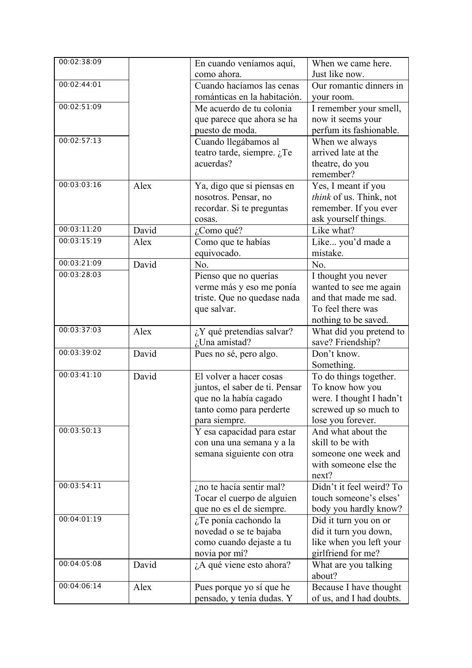| 00:02:38:09 |       | En cuando veníamos aquí,       | When we came here.                        |
|-------------|-------|--------------------------------|-------------------------------------------|
|             |       | como ahora.                    | Just like now.                            |
| 00:02:44:01 |       | Cuando hacíamos las cenas      | Our romantic dinners in                   |
|             |       | románticas en la habitación.   | your room.                                |
| 00:02:51:09 |       | Me acuerdo de tu colonia       | I remember your smell,                    |
|             |       | que parece que ahora se ha     | now it seems your                         |
|             |       | puesto de moda.                | perfum its fashionable.                   |
| 00:02:57:13 |       | Cuando llegábamos al           | When we always                            |
|             |       | teatro tarde, siempre. $i$ Te  | arrived late at the                       |
|             |       | acuerdas?                      | theatre, do you                           |
|             |       |                                | remember?                                 |
| 00:03:03:16 | Alex  | Ya, digo que si piensas en     | Yes, I meant if you                       |
|             |       | nosotros. Pensar, no           | think of us. Think, not                   |
|             |       | recordar. Si te preguntas      | remember. If you ever                     |
|             |       | cosas.                         | ask yourself things.                      |
| 00:03:11:20 | David | ¿Como qué?                     | Like what?                                |
| 00:03:15:19 | Alex  | Como que te habías             | Like you'd made a                         |
|             |       | equivocado.                    | mistake.                                  |
| 00:03:21:09 | David | No.                            | No.                                       |
| 00:03:28:03 |       | Pienso que no querías          | I thought you never                       |
|             |       | verme más y eso me ponía       | wanted to see me again                    |
|             |       | triste. Que no quedase nada    | and that made me sad.                     |
|             |       | que salvar.                    | To feel there was                         |
| 00:03:37:03 |       |                                | nothing to be saved.                      |
|             | Alex  | ¿Y qué pretendías salvar?      | What did you pretend to                   |
| 00:03:39:02 | David | ¿Una amistad?                  | save? Friendship?<br>Don't know.          |
|             |       | Pues no sé, pero algo.         |                                           |
| 00:03:41:10 | David | El volver a hacer cosas        | Something.                                |
|             |       | juntos, el saber de ti. Pensar | To do things together.<br>To know how you |
|             |       | que no la había cagado         | were. I thought I hadn't                  |
|             |       | tanto como para perderte       | screwed up so much to                     |
|             |       | para siempre.                  | lose you forever.                         |
| 00:03:50:13 |       | Y esa capacidad para estar     | And what about the                        |
|             |       | con una una semana y a la      | skill to be with                          |
|             |       | semana siguiente con otra      | someone one week and                      |
|             |       |                                | with someone else the                     |
|             |       |                                | next?                                     |
| 00:03:54:11 |       | ¿no te hacía sentir mal?       | Didn't it feel weird? To                  |
|             |       | Tocar el cuerpo de alguien     | touch someone's elses'                    |
|             |       | que no es el de siempre.       | body you hardly know?                     |
| 00:04:01:19 |       | ¿Te ponía cachondo la          | Did it turn you on or                     |
|             |       | novedad o se te bajaba         | did it turn you down,                     |
|             |       | como cuando dejaste a tu       | like when you left your                   |
|             |       | novia por mí?                  | girlfriend for me?                        |
| 00:04:05:08 | David | ¿A qué viene esto ahora?       | What are you talking                      |
|             |       |                                | about?                                    |
| 00:04:06:14 | Alex  | Pues porque yo sí que he       | Because I have thought                    |
|             |       | pensado, y tenía dudas. Y      | of us, and I had doubts.                  |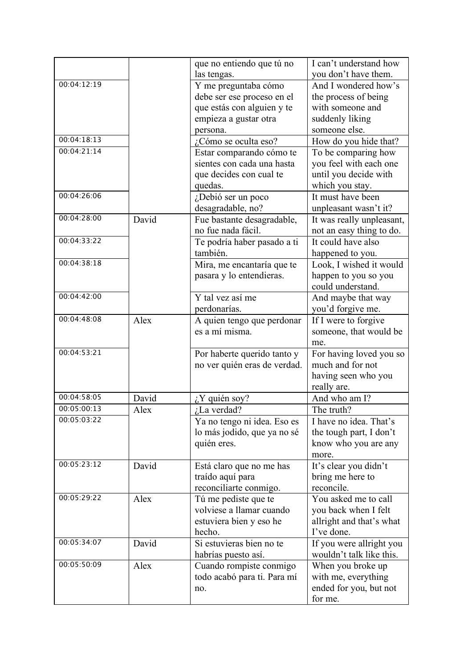|             |       | que no entiendo que tú no    | I can't understand how    |
|-------------|-------|------------------------------|---------------------------|
|             |       | las tengas.                  | you don't have them.      |
| 00:04:12:19 |       | Y me preguntaba cómo         | And I wondered how's      |
|             |       | debe ser ese proceso en el   | the process of being      |
|             |       | que estás con alguien y te   | with someone and          |
|             |       | empieza a gustar otra        | suddenly liking           |
|             |       | persona.                     | someone else.             |
| 00:04:18:13 |       | ¿Cómo se oculta eso?         | How do you hide that?     |
| 00:04:21:14 |       | Estar comparando cómo te     | To be comparing how       |
|             |       | sientes con cada una hasta   | you feel with each one    |
|             |       | que decides con cual te      | until you decide with     |
|             |       | quedas.                      | which you stay.           |
| 00:04:26:06 |       | ¿Debió ser un poco           | It must have been         |
|             |       | desagradable, no?            | unpleasant wasn't it?     |
| 00:04:28:00 | David | Fue bastante desagradable,   | It was really unpleasant, |
|             |       | no fue nada fácil.           | not an easy thing to do.  |
| 00:04:33:22 |       | Te podría haber pasado a ti  | It could have also        |
|             |       | también.                     | happened to you.          |
| 00:04:38:18 |       | Mira, me encantaría que te   | Look, I wished it would   |
|             |       | pasara y lo entendieras.     | happen to you so you      |
|             |       |                              | could understand.         |
| 00:04:42:00 |       | Y tal vez así me             | And maybe that way        |
|             |       | perdonarías.                 | you'd forgive me.         |
| 00:04:48:08 | Alex  | A quien tengo que perdonar   | If I were to forgive      |
|             |       | es a mí misma.               | someone, that would be    |
|             |       |                              | me.                       |
| 00:04:53:21 |       | Por haberte querido tanto y  | For having loved you so   |
|             |       | no ver quién eras de verdad. | much and for not          |
|             |       |                              | having seen who you       |
|             |       |                              | really are.               |
| 00:04:58:05 | David | ¿Y quién soy?                | And who am I?             |
| 00:05:00:13 | Alex  | $i$ La verdad?               | The truth?                |
| 00:05:03:22 |       | Ya no tengo ni idea. Eso es  | I have no idea. That's    |
|             |       | lo más jodido, que ya no sé  | the tough part, I don't   |
|             |       | quién eres.                  | know who you are any      |
|             |       |                              | more.                     |
| 00:05:23:12 | David | Está claro que no me has     | It's clear you didn't     |
|             |       | traído aquí para             | bring me here to          |
|             |       | reconciliarte conmigo.       | reconcile.                |
| 00:05:29:22 | Alex  | Tú me pediste que te         | You asked me to call      |
|             |       | volviese a llamar cuando     | you back when I felt      |
|             |       | estuviera bien y eso he      | allright and that's what  |
|             |       | hecho.                       | I've done.                |
| 00:05:34:07 | David | Si estuvieras bien no te     | If you were allright you  |
|             |       | habrías puesto así.          | wouldn't talk like this.  |
| 00:05:50:09 | Alex  | Cuando rompiste conmigo      | When you broke up         |
|             |       | todo acabó para ti. Para mí  | with me, everything       |
|             |       | no.                          | ended for you, but not    |
|             |       |                              | for me.                   |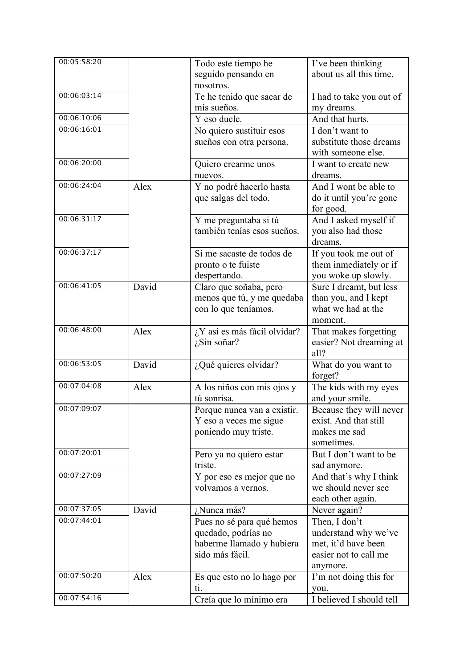| 00:05:58:20 |       | Todo este tiempo he                | I've been thinking                            |
|-------------|-------|------------------------------------|-----------------------------------------------|
|             |       | seguido pensando en                | about us all this time.                       |
|             |       | nosotros.                          |                                               |
| 00:06:03:14 |       | Te he tenido que sacar de          | I had to take you out of                      |
|             |       | mis sueños.                        | my dreams.                                    |
| 00:06:10:06 |       | Y eso duele.                       | And that hurts.                               |
| 00:06:16:01 |       | No quiero sustituir esos           | I don't want to                               |
|             |       | sueños con otra persona.           | substitute those dreams                       |
|             |       |                                    | with someone else.                            |
| 00:06:20:00 |       | Quiero crearme unos                | I want to create new                          |
|             |       | nuevos.                            | dreams.                                       |
| 00:06:24:04 | Alex  | Y no podré hacerlo hasta           | And I wont be able to                         |
|             |       | que salgas del todo.               | do it until you're gone                       |
|             |       |                                    | for good.                                     |
| 00:06:31:17 |       | Y me preguntaba si tú              | And I asked myself if                         |
|             |       | también tenías esos sueños.        | you also had those                            |
|             |       |                                    | dreams.                                       |
| 00:06:37:17 |       | Si me sacaste de todos de          | If you took me out of                         |
|             |       | pronto o te fuiste                 | them inmediately or if                        |
|             |       | despertando.                       | you woke up slowly.                           |
| 00:06:41:05 | David | Claro que soñaba, pero             | Sure I dreamt, but less                       |
|             |       | menos que tú, y me quedaba         | than you, and I kept                          |
|             |       | con lo que teníamos.               | what we had at the                            |
|             |       |                                    | moment.                                       |
| 00:06:48:00 | Alex  | ¿Y así es más fácil olvidar?       | That makes forgetting                         |
|             |       | $i$ Sin soñar?                     | easier? Not dreaming at                       |
|             |       |                                    | all?                                          |
| 00:06:53:05 | David |                                    | What do you want to                           |
|             |       | ¿Qué quieres olvidar?              | forget?                                       |
| 00:07:04:08 | Alex  |                                    |                                               |
|             |       | A los niños con mis ojos y         | The kids with my eyes                         |
| 00:07:09:07 |       | tú sonrisa.                        | and your smile.                               |
|             |       | Porque nunca van a existir.        | Because they will never                       |
|             |       | Y eso a veces me sigue             | exist. And that still                         |
|             |       | poniendo muy triste.               | makes me sad                                  |
| 00:07:20:01 |       |                                    | sometimes.                                    |
|             |       | Pero ya no quiero estar<br>triste. | But I don't want to be                        |
| 00:07:27:09 |       |                                    | sad anymore.                                  |
|             |       | Y por eso es mejor que no          | And that's why I think<br>we should never see |
|             |       | volvamos a vernos.                 |                                               |
| 00:07:37:05 |       |                                    | each other again.                             |
| 00:07:44:01 | David | ¿Nunca más?                        | Never again?                                  |
|             |       | Pues no sé para qué hemos          | Then, I don't                                 |
|             |       | quedado, podrías no                | understand why we've                          |
|             |       | haberme llamado y hubiera          | met, it'd have been                           |
|             |       | sido más fácil.                    | easier not to call me                         |
| 00:07:50:20 |       |                                    | anymore.                                      |
|             | Alex  | Es que esto no lo hago por         | I'm not doing this for                        |
|             |       | ti.                                | you.                                          |
| 00:07:54:16 |       | Creía que lo mínimo era            | I believed I should tell                      |